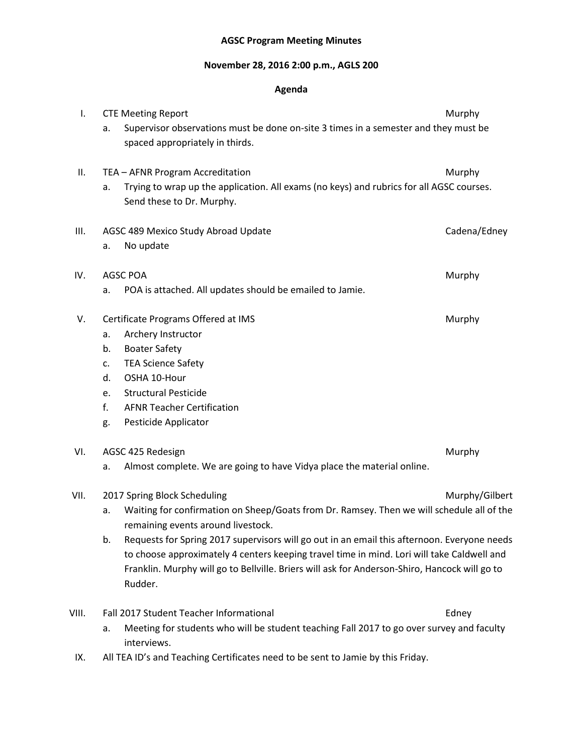## **AGSC Program Meeting Minutes**

## **November 28, 2016 2:00 p.m., AGLS 200**

## **Agenda**

| I.    |                                     | <b>CTE Meeting Report</b>                                                                                                                                                                                                                                                                             | Murphy         |  |  |  |  |  |
|-------|-------------------------------------|-------------------------------------------------------------------------------------------------------------------------------------------------------------------------------------------------------------------------------------------------------------------------------------------------------|----------------|--|--|--|--|--|
|       | a.                                  | Supervisor observations must be done on-site 3 times in a semester and they must be<br>spaced appropriately in thirds.                                                                                                                                                                                |                |  |  |  |  |  |
| Ш.    |                                     | TEA - AFNR Program Accreditation                                                                                                                                                                                                                                                                      | Murphy         |  |  |  |  |  |
|       | a.                                  | Trying to wrap up the application. All exams (no keys) and rubrics for all AGSC courses.<br>Send these to Dr. Murphy.                                                                                                                                                                                 |                |  |  |  |  |  |
| III.  |                                     | AGSC 489 Mexico Study Abroad Update                                                                                                                                                                                                                                                                   | Cadena/Edney   |  |  |  |  |  |
|       | a.                                  | No update                                                                                                                                                                                                                                                                                             |                |  |  |  |  |  |
| IV.   |                                     | <b>AGSC POA</b>                                                                                                                                                                                                                                                                                       | Murphy         |  |  |  |  |  |
|       | a.                                  | POA is attached. All updates should be emailed to Jamie.                                                                                                                                                                                                                                              |                |  |  |  |  |  |
| V.    | Certificate Programs Offered at IMS | Murphy                                                                                                                                                                                                                                                                                                |                |  |  |  |  |  |
|       | a.                                  | Archery Instructor                                                                                                                                                                                                                                                                                    |                |  |  |  |  |  |
|       | b.                                  | <b>Boater Safety</b>                                                                                                                                                                                                                                                                                  |                |  |  |  |  |  |
|       | c.                                  | <b>TEA Science Safety</b>                                                                                                                                                                                                                                                                             |                |  |  |  |  |  |
|       | d.                                  | OSHA 10-Hour                                                                                                                                                                                                                                                                                          |                |  |  |  |  |  |
|       | e.                                  | <b>Structural Pesticide</b>                                                                                                                                                                                                                                                                           |                |  |  |  |  |  |
|       | f.                                  | <b>AFNR Teacher Certification</b>                                                                                                                                                                                                                                                                     |                |  |  |  |  |  |
|       | g.                                  | Pesticide Applicator                                                                                                                                                                                                                                                                                  |                |  |  |  |  |  |
| VI.   |                                     | AGSC 425 Redesign                                                                                                                                                                                                                                                                                     | Murphy         |  |  |  |  |  |
|       | a.                                  | Almost complete. We are going to have Vidya place the material online.                                                                                                                                                                                                                                |                |  |  |  |  |  |
| VII.  |                                     | 2017 Spring Block Scheduling                                                                                                                                                                                                                                                                          | Murphy/Gilbert |  |  |  |  |  |
|       | a.                                  | Waiting for confirmation on Sheep/Goats from Dr. Ramsey. Then we will schedule all of the<br>remaining events around livestock.                                                                                                                                                                       |                |  |  |  |  |  |
|       | b.                                  | Requests for Spring 2017 supervisors will go out in an email this afternoon. Everyone needs<br>to choose approximately 4 centers keeping travel time in mind. Lori will take Caldwell and<br>Franklin. Murphy will go to Bellville. Briers will ask for Anderson-Shiro, Hancock will go to<br>Rudder. |                |  |  |  |  |  |
| VIII. |                                     | Fall 2017 Student Teacher Informational                                                                                                                                                                                                                                                               | Edney          |  |  |  |  |  |
|       | a.                                  | Meeting for students who will be student teaching Fall 2017 to go over survey and faculty                                                                                                                                                                                                             |                |  |  |  |  |  |

interviews. IX. All TEA ID's and Teaching Certificates need to be sent to Jamie by this Friday.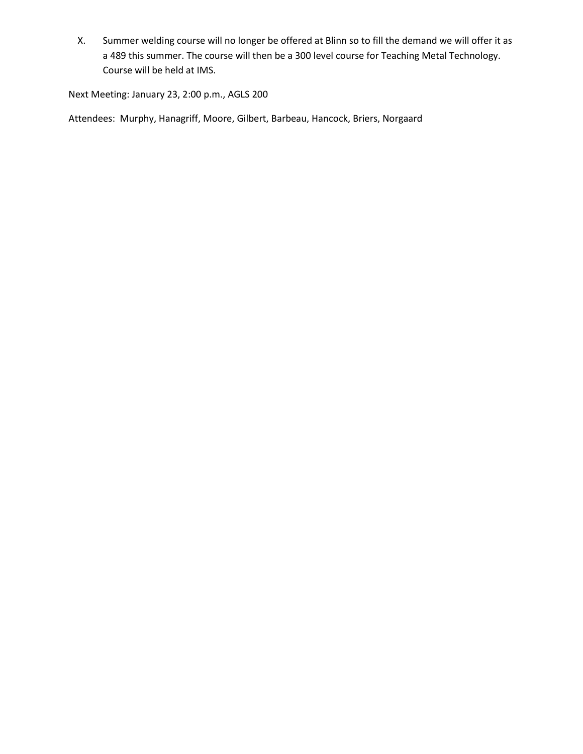X. Summer welding course will no longer be offered at Blinn so to fill the demand we will offer it as a 489 this summer. The course will then be a 300 level course for Teaching Metal Technology. Course will be held at IMS.

Next Meeting: January 23, 2:00 p.m., AGLS 200

Attendees: Murphy, Hanagriff, Moore, Gilbert, Barbeau, Hancock, Briers, Norgaard